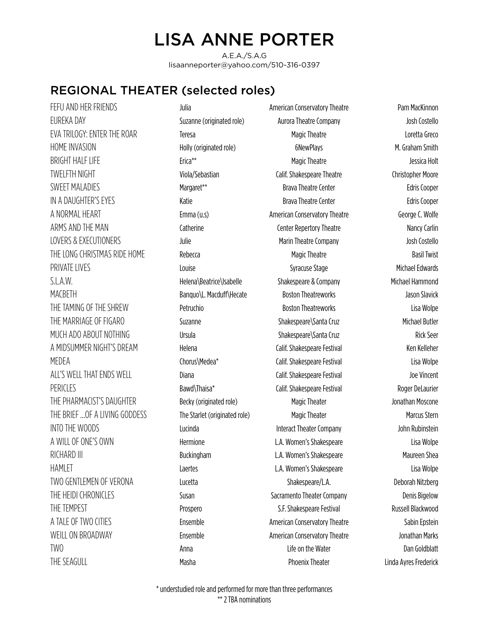## LISA ANNE PORTER

A.E.A./S.A.G lisaanneporter@yahoo.com/510-316-0397

## REGIONAL THEATER (selected roles)

FEFU AND HER FRIENDS Julia American Conservatory Theatre Pam MacKinnon EUREKA DAY Suzanne (originated role) Aurora Theatre Company Josh Costello EVA TRILOGY: ENTER THE ROAR Teresa Magic Theatre Loretta Greco HOME INVASION M. Graham Smith BRIGHT HALF LIFE **Erica<sup>\*\*</sup>** Erica<sup>\*\*</sup> Erica<sup>\*\*</sup> Magic Theatre Magic Theatre Architects and the series of the series of the series of the series of the series of the series of the series of the series of the series of the TWELFTH NIGHT THE Viola/Sebastian Calif. Shakespeare Theatre Christopher Moore SWEET MALADIES **Example 20 Terms** Margaret\*\* Manufacture Praya Theatre Center **Example 20 Terms** Edris Cooper IN A DAUGHTER'S EYES **EXECUTE:** Katie **Brava Theatre Center Brava Theatre Center Edris Cooper** A NORMAL HEART **Example 20 Francisco Conservatory Theatre** George C. Wolfe ARMS AND THE MAN Catherine Center Repertory Theatre Nancy Carlin LOVERS & EXECUTIONERS Julie Marin Theatre Company Josh Costello THE LONG CHRISTMAS RIDE HOME Rebecca Rebecca Reserves and Magic Theatre Reserves Basil Twist PRIVATE LIVES **Syracuse Stage Stage Stage Syracuse Stage** Michael Edwards S.L.A.W. **S. Example 2008** Helena\Beatrice\Isabelle Shakespeare & Company Michael Hammond MACBETH Banquo\L. Macduff\Hecate Boston Theatreworks Jason Slavick THE TAMING OF THE SHREW **Petruchio** Petruchio Boston Theatreworks CHAMING OF THE SHREW Boston Theatreworks CHAMING OF THE SHREW BOSTON PETRUCHION THE MARRIAGE OF FIGARO Suzanne Shakespeare\Santa Cruz Michael Butler MUCH ADO ABOUT NOTHING Ursula Shakespeare\Santa Cruz Rick Seer A MIDSUMMER NIGHT'S DREAM Helena Helena Calif. Shakespeare Festival Ken Kelleher MEDEA Chorus\Medea\* Calif. Shakespeare Festival Lisa Wolpe ALL'S WELL THAT ENDS WELL Diana Calif. Shakespeare Festival Joe Vincent PERICLES **Samual Roger DeLaurier** Bawd\Thaisa\* Calif. Shakespeare Festival Roger DeLaurier THE PHARMACIST'S DAUGHTER Becky (originated role) Magic Theater Magic Theater Jonathan Moscone THE BRIEF ... OF A LIVING GODDESS The Starlet (originated role) Magic Theater Magic Theater Marcus Stern INTO THE WOODS Lucinda Interact Theater Company John Rubinstein A WILL OF ONE'S OWN Hermione L.A. Women's Shakespeare Lisa Wolpe RICHARD III Buckingham L.A. Women's Shakespeare Maureen Shea HAMLET Laertes L.A. Women's Shakespeare Lisa Wolpe TWO GENTLEMEN OF VERONA Lucetta Shakespeare/L.A. Deborah Nitzberg THE HEIDI CHRONICLES Susan Susan Susan Sacramento Theater Company Denis Bigelow THE TEMPEST THE TEMPEST CONTROLLED Prospero Prospero S.F. Shakespeare Festival Russell Blackwood A TALE OF TWO CITIES Ensemble Ensemble American Conservatory Theatre Sabin Epstein WEILL ON BROADWAY **Ensemble** Ensemble American Conservatory Theatre Jonathan Marks TWO **EXECUTE OF Anna** Anna **Container and Anna Container Container Anna Container and Anna Container and Anna Container and Dan Goldblatt** THE SEAGULL **Examples 20 Terms of the Masha** Phoenix Theater **Phoenix Theater** Phoenix Theater Linda Ayres Frederick